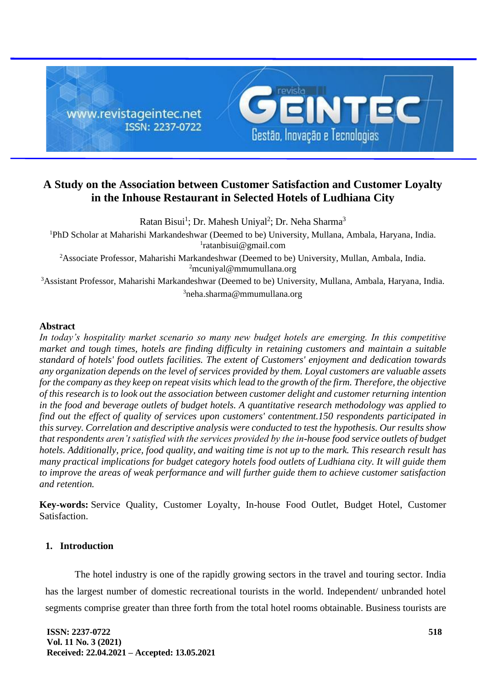

# **A Study on the Association between Customer Satisfaction and Customer Loyalty in the Inhouse Restaurant in Selected Hotels of Ludhiana City**

Ratan Bisui<sup>1</sup>; Dr. Mahesh Uniyal<sup>2</sup>; Dr. Neha Sharma<sup>3</sup> PhD Scholar at Maharishi Markandeshwar (Deemed to be) University, Mullana, Ambala, Haryana, India. [ratanbisui@gmail.com](mailto:1ratanbisui@gmail.com) Associate Professor, Maharishi Markandeshwar (Deemed to be) University, Mullan, Ambala, India. [mcuniyal@mmumullana.org](mailto:2mcuniyal@mmumullana.org) Assistant Professor, Maharishi Markandeshwar (Deemed to be) University, Mullana, Ambala, Haryana, India.  $3neha.sharma@mmumullana.org$ 

# **Abstract**

*In today's hospitality market scenario so many new budget hotels are emerging. In this competitive market and tough times, hotels are finding difficulty in retaining customers and maintain a suitable standard of hotels' food outlets facilities. The extent of Customers' enjoyment and dedication towards any organization depends on the level of services provided by them. Loyal customers are valuable assets for the company as they keep on repeat visits which lead to the growth of the firm. Therefore, the objective of this research is to look out the association between customer delight and customer returning intention in the food and beverage outlets of budget hotels. A quantitative research methodology was applied to find out the effect of quality of services upon customers' contentment.150 respondents participated in this survey. Correlation and descriptive analysis were conducted to test the hypothesis. Our results show that respondents aren't satisfied with the services provided by the in-house food service outlets of budget hotels. Additionally, price, food quality, and waiting time is not up to the mark. This research result has many practical implications for budget category hotels food outlets of Ludhiana city. It will guide them to improve the areas of weak performance and will further guide them to achieve customer satisfaction and retention.*

**Key-words:** Service Quality, Customer Loyalty, In-house Food Outlet, Budget Hotel, Customer Satisfaction.

# **1. Introduction**

The hotel industry is one of the rapidly growing sectors in the travel and touring sector. India has the largest number of domestic recreational tourists in the world. Independent/ unbranded hotel segments comprise greater than three forth from the total hotel rooms obtainable. Business tourists are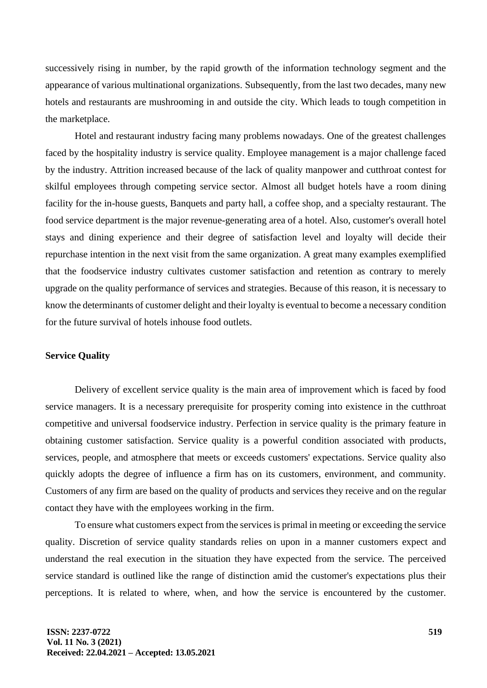successively rising in number, by the rapid growth of the information technology segment and the appearance of various multinational organizations. Subsequently, from the last two decades, many new hotels and restaurants are mushrooming in and outside the city. Which leads to tough competition in the marketplace.

Hotel and restaurant industry facing many problems nowadays. One of the greatest challenges faced by the hospitality industry is service quality. Employee management is a major challenge faced by the industry. Attrition increased because of the lack of quality manpower and cutthroat contest for skilful employees through competing service sector. Almost all budget hotels have a room dining facility for the in-house guests, Banquets and party hall, a coffee shop, and a specialty restaurant. The food service department is the major revenue-generating area of a hotel. Also, customer's overall hotel stays and dining experience and their degree of satisfaction level and loyalty will decide their repurchase intention in the next visit from the same organization. A great many examples exemplified that the foodservice industry cultivates customer satisfaction and retention as contrary to merely upgrade on the quality performance of services and strategies. Because of this reason, it is necessary to know the determinants of customer delight and their loyalty is eventual to become a necessary condition for the future survival of hotels inhouse food outlets.

# **Service Quality**

Delivery of excellent service quality is the main area of improvement which is faced by food service managers. It is a necessary prerequisite for prosperity coming into existence in the cutthroat competitive and universal foodservice industry. Perfection in service quality is the primary feature in obtaining customer satisfaction. Service quality is a powerful condition associated with products, services, people, and atmosphere that meets or exceeds customers' expectations. Service quality also quickly adopts the degree of influence a firm has on its customers, environment, and community. Customers of any firm are based on the quality of products and services they receive and on the regular contact they have with the employees working in the firm.

To ensure what customers expect from the services is primal in meeting or exceeding the service quality. Discretion of service quality standards relies on upon in a manner customers expect and understand the real execution in the situation they have expected from the service. The perceived service standard is outlined like the range of distinction amid the customer's expectations plus their perceptions. It is related to where, when, and how the service is encountered by the customer.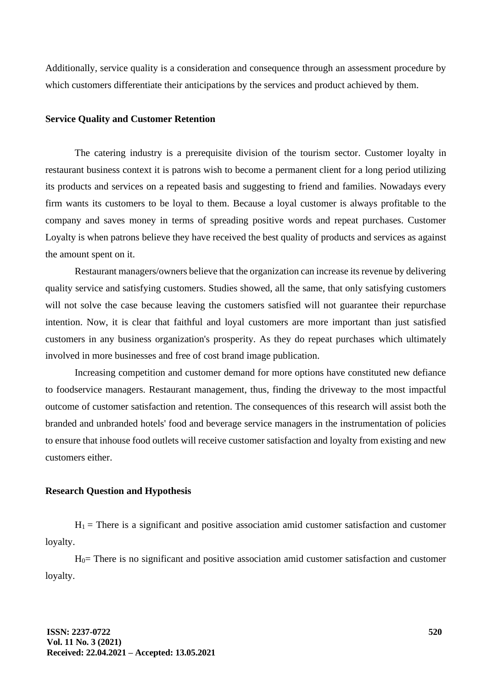Additionally, service quality is a consideration and consequence through an assessment procedure by which customers differentiate their anticipations by the services and product achieved by them.

#### **Service Quality and Customer Retention**

The catering industry is a prerequisite division of the tourism sector. Customer loyalty in restaurant business context it is patrons wish to become a permanent client for a long period utilizing its products and services on a repeated basis and suggesting to friend and families. Nowadays every firm wants its customers to be loyal to them. Because a loyal customer is always profitable to the company and saves money in terms of spreading positive words and repeat purchases. Customer Loyalty is when patrons believe they have received the best quality of products and services as against the amount spent on it.

Restaurant managers/owners believe that the organization can increase its revenue by delivering quality service and satisfying customers. Studies showed, all the same, that only satisfying customers will not solve the case because leaving the customers satisfied will not guarantee their repurchase intention. Now, it is clear that faithful and loyal customers are more important than just satisfied customers in any business organization's prosperity. As they do repeat purchases which ultimately involved in more businesses and free of cost brand image publication.

Increasing competition and customer demand for more options have constituted new defiance to foodservice managers. Restaurant management, thus, finding the driveway to the most impactful outcome of customer satisfaction and retention. The consequences of this research will assist both the branded and unbranded hotels' food and beverage service managers in the instrumentation of policies to ensure that inhouse food outlets will receive customer satisfaction and loyalty from existing and new customers either.

## **Research Question and Hypothesis**

 $H_1$  = There is a significant and positive association amid customer satisfaction and customer loyalty.

 $H<sub>0</sub>=$  There is no significant and positive association amid customer satisfaction and customer loyalty.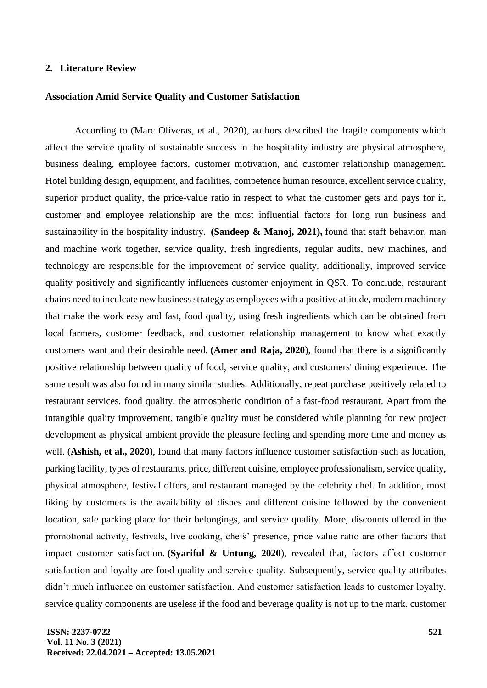# **2. Literature Review**

#### **Association Amid Service Quality and Customer Satisfaction**

According to (Marc Oliveras, et al., 2020), authors described the fragile components which affect the service quality of sustainable success in the hospitality industry are physical atmosphere, business dealing, employee factors, customer motivation, and customer relationship management. Hotel building design, equipment, and facilities, competence human resource, excellent service quality, superior product quality, the price-value ratio in respect to what the customer gets and pays for it, customer and employee relationship are the most influential factors for long run business and sustainability in the hospitality industry. **(Sandeep & Manoj, 2021),** found that staff behavior, man and machine work together, service quality, fresh ingredients, regular audits, new machines, and technology are responsible for the improvement of service quality. additionally, improved service quality positively and significantly influences customer enjoyment in QSR. To conclude, restaurant chains need to inculcate new business strategy as employees with a positive attitude, modern machinery that make the work easy and fast, food quality, using fresh ingredients which can be obtained from local farmers, customer feedback, and customer relationship management to know what exactly customers want and their desirable need. **(Amer and Raja, 2020**), found that there is a significantly positive relationship between quality of food, service quality, and customers' dining experience. The same result was also found in many similar studies. Additionally, repeat purchase positively related to restaurant services, food quality, the atmospheric condition of a fast-food restaurant. Apart from the intangible quality improvement, tangible quality must be considered while planning for new project development as physical ambient provide the pleasure feeling and spending more time and money as well. (**Ashish, et al., 2020**), found that many factors influence customer satisfaction such as location, parking facility, types of restaurants, price, different cuisine, employee professionalism, service quality, physical atmosphere, festival offers, and restaurant managed by the celebrity chef. In addition, most liking by customers is the availability of dishes and different cuisine followed by the convenient location, safe parking place for their belongings, and service quality. More, discounts offered in the promotional activity, festivals, live cooking, chefs' presence, price value ratio are other factors that impact customer satisfaction. **(Syariful & Untung, 2020**), revealed that, factors affect customer satisfaction and loyalty are food quality and service quality. Subsequently, service quality attributes didn't much influence on customer satisfaction. And customer satisfaction leads to customer loyalty. service quality components are useless if the food and beverage quality is not up to the mark. customer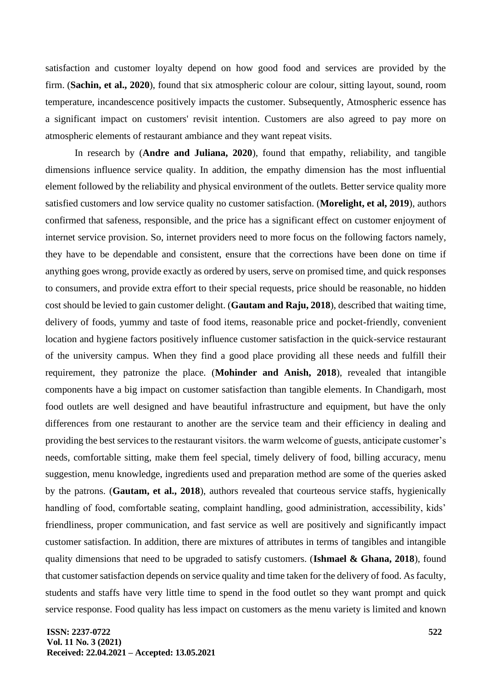satisfaction and customer loyalty depend on how good food and services are provided by the firm. (**Sachin, et al., 2020**), found that six atmospheric colour are colour, sitting layout, sound, room temperature, incandescence positively impacts the customer. Subsequently, Atmospheric essence has a significant impact on customers' revisit intention. Customers are also agreed to pay more on atmospheric elements of restaurant ambiance and they want repeat visits.

In research by (**Andre and Juliana, 2020**), found that empathy, reliability, and tangible dimensions influence service quality. In addition, the empathy dimension has the most influential element followed by the reliability and physical environment of the outlets. Better service quality more satisfied customers and low service quality no customer satisfaction. (**Morelight, et al, 2019**), authors confirmed that safeness, responsible, and the price has a significant effect on customer enjoyment of internet service provision. So, internet providers need to more focus on the following factors namely, they have to be dependable and consistent, ensure that the corrections have been done on time if anything goes wrong, provide exactly as ordered by users, serve on promised time, and quick responses to consumers, and provide extra effort to their special requests, price should be reasonable, no hidden cost should be levied to gain customer delight. (**Gautam and Raju, 2018**), described that waiting time, delivery of foods, yummy and taste of food items, reasonable price and pocket-friendly, convenient location and hygiene factors positively influence customer satisfaction in the quick-service restaurant of the university campus. When they find a good place providing all these needs and fulfill their requirement, they patronize the place. (**Mohinder and Anish, 2018**), revealed that intangible components have a big impact on customer satisfaction than tangible elements. In Chandigarh, most food outlets are well designed and have beautiful infrastructure and equipment, but have the only differences from one restaurant to another are the service team and their efficiency in dealing and providing the best services to the restaurant visitors. the warm welcome of guests, anticipate customer's needs, comfortable sitting, make them feel special, timely delivery of food, billing accuracy, menu suggestion, menu knowledge, ingredients used and preparation method are some of the queries asked by the patrons. (**Gautam, et al., 2018**), authors revealed that courteous service staffs, hygienically handling of food, comfortable seating, complaint handling, good administration, accessibility, kids' friendliness, proper communication, and fast service as well are positively and significantly impact customer satisfaction. In addition, there are mixtures of attributes in terms of tangibles and intangible quality dimensions that need to be upgraded to satisfy customers. (**Ishmael & Ghana, 2018**), found that customer satisfaction depends on service quality and time taken for the delivery of food. As faculty, students and staffs have very little time to spend in the food outlet so they want prompt and quick service response. Food quality has less impact on customers as the menu variety is limited and known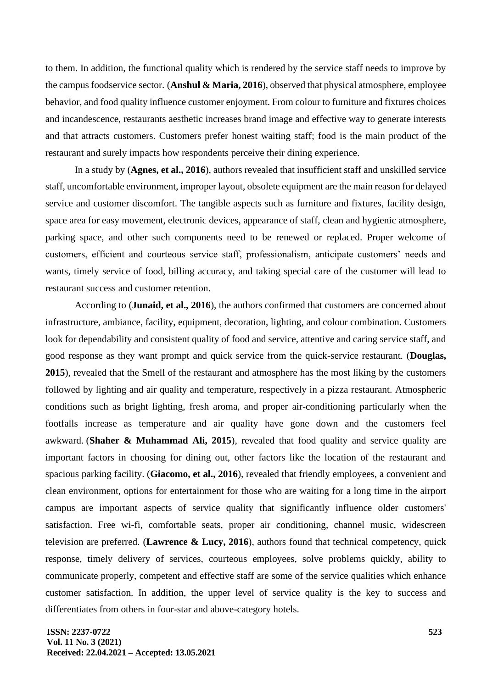to them. In addition, the functional quality which is rendered by the service staff needs to improve by the campus foodservice sector. (**Anshul & Maria, 2016**), observed that physical atmosphere, employee behavior, and food quality influence customer enjoyment. From colour to furniture and fixtures choices and incandescence, restaurants aesthetic increases brand image and effective way to generate interests and that attracts customers. Customers prefer honest waiting staff; food is the main product of the restaurant and surely impacts how respondents perceive their dining experience.

In a study by (**Agnes, et al., 2016**), authors revealed that insufficient staff and unskilled service staff, uncomfortable environment, improper layout, obsolete equipment are the main reason for delayed service and customer discomfort. The tangible aspects such as furniture and fixtures, facility design, space area for easy movement, electronic devices, appearance of staff, clean and hygienic atmosphere, parking space, and other such components need to be renewed or replaced. Proper welcome of customers, efficient and courteous service staff, professionalism, anticipate customers' needs and wants, timely service of food, billing accuracy, and taking special care of the customer will lead to restaurant success and customer retention.

According to (**Junaid, et al., 2016**), the authors confirmed that customers are concerned about infrastructure, ambiance, facility, equipment, decoration, lighting, and colour combination. Customers look for dependability and consistent quality of food and service, attentive and caring service staff, and good response as they want prompt and quick service from the quick-service restaurant. (**Douglas, 2015**), revealed that the Smell of the restaurant and atmosphere has the most liking by the customers followed by lighting and air quality and temperature, respectively in a pizza restaurant. Atmospheric conditions such as bright lighting, fresh aroma, and proper air-conditioning particularly when the footfalls increase as temperature and air quality have gone down and the customers feel awkward. (**Shaher & Muhammad Ali, 2015**), revealed that food quality and service quality are important factors in choosing for dining out, other factors like the location of the restaurant and spacious parking facility. (**Giacomo, et al., 2016**), revealed that friendly employees, a convenient and clean environment, options for entertainment for those who are waiting for a long time in the airport campus are important aspects of service quality that significantly influence older customers' satisfaction. Free wi-fi, comfortable seats, proper air conditioning, channel music, widescreen television are preferred. (**Lawrence & Lucy, 2016**), authors found that technical competency, quick response, timely delivery of services, courteous employees, solve problems quickly, ability to communicate properly, competent and effective staff are some of the service qualities which enhance customer satisfaction. In addition, the upper level of service quality is the key to success and differentiates from others in four-star and above-category hotels.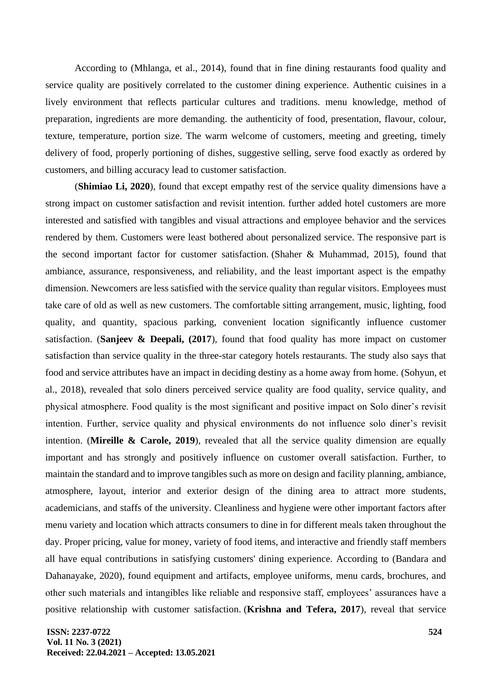According to (Mhlanga, et al., 2014), found that in fine dining restaurants food quality and service quality are positively correlated to the customer dining experience. Authentic cuisines in a lively environment that reflects particular cultures and traditions. menu knowledge, method of preparation, ingredients are more demanding. the authenticity of food, presentation, flavour, colour, texture, temperature, portion size. The warm welcome of customers, meeting and greeting, timely delivery of food, properly portioning of dishes, suggestive selling, serve food exactly as ordered by customers, and billing accuracy lead to customer satisfaction.

(**Shimiao Li, 2020**), found that except empathy rest of the service quality dimensions have a strong impact on customer satisfaction and revisit intention. further added hotel customers are more interested and satisfied with tangibles and visual attractions and employee behavior and the services rendered by them. Customers were least bothered about personalized service. The responsive part is the second important factor for customer satisfaction. (Shaher & Muhammad, 2015), found that ambiance, assurance, responsiveness, and reliability, and the least important aspect is the empathy dimension. Newcomers are less satisfied with the service quality than regular visitors. Employees must take care of old as well as new customers. The comfortable sitting arrangement, music, lighting, food quality, and quantity, spacious parking, convenient location significantly influence customer satisfaction. (**Sanjeev & Deepali, (2017**), found that food quality has more impact on customer satisfaction than service quality in the three-star category hotels restaurants. The study also says that food and service attributes have an impact in deciding destiny as a home away from home. (Sohyun, et al., 2018), revealed that solo diners perceived service quality are food quality, service quality, and physical atmosphere. Food quality is the most significant and positive impact on Solo diner's revisit intention. Further, service quality and physical environments do not influence solo diner's revisit intention. (**Mireille & Carole, 2019**), revealed that all the service quality dimension are equally important and has strongly and positively influence on customer overall satisfaction. Further, to maintain the standard and to improve tangibles such as more on design and facility planning, ambiance, atmosphere, layout, interior and exterior design of the dining area to attract more students, academicians, and staffs of the university. Cleanliness and hygiene were other important factors after menu variety and location which attracts consumers to dine in for different meals taken throughout the day. Proper pricing, value for money, variety of food items, and interactive and friendly staff members all have equal contributions in satisfying customers' dining experience. According to (Bandara and Dahanayake, 2020), found equipment and artifacts, employee uniforms, menu cards, brochures, and other such materials and intangibles like reliable and responsive staff, employees' assurances have a positive relationship with customer satisfaction. (**Krishna and Tefera, 2017**), reveal that service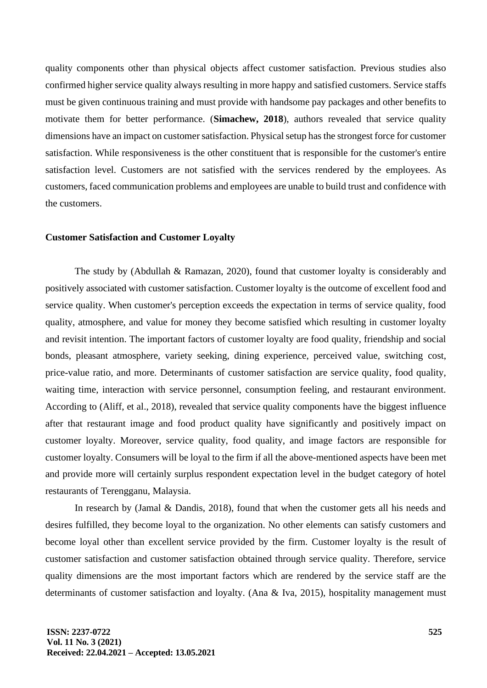quality components other than physical objects affect customer satisfaction. Previous studies also confirmed higher service quality always resulting in more happy and satisfied customers. Service staffs must be given continuous training and must provide with handsome pay packages and other benefits to motivate them for better performance. (**Simachew, 2018**), authors revealed that service quality dimensions have an impact on customer satisfaction. Physical setup has the strongest force for customer satisfaction. While responsiveness is the other constituent that is responsible for the customer's entire satisfaction level. Customers are not satisfied with the services rendered by the employees. As customers, faced communication problems and employees are unable to build trust and confidence with the customers.

#### **Customer Satisfaction and Customer Loyalty**

The study by (Abdullah & Ramazan, 2020), found that customer loyalty is considerably and positively associated with customer satisfaction. Customer loyalty is the outcome of excellent food and service quality. When customer's perception exceeds the expectation in terms of service quality, food quality, atmosphere, and value for money they become satisfied which resulting in customer loyalty and revisit intention. The important factors of customer loyalty are food quality, friendship and social bonds, pleasant atmosphere, variety seeking, dining experience, perceived value, switching cost, price-value ratio, and more. Determinants of customer satisfaction are service quality, food quality, waiting time, interaction with service personnel, consumption feeling, and restaurant environment. According to (Aliff, et al., 2018), revealed that service quality components have the biggest influence after that restaurant image and food product quality have significantly and positively impact on customer loyalty. Moreover, service quality, food quality, and image factors are responsible for customer loyalty. Consumers will be loyal to the firm if all the above-mentioned aspects have been met and provide more will certainly surplus respondent expectation level in the budget category of hotel restaurants of Terengganu, Malaysia.

In research by (Jamal & Dandis, 2018), found that when the customer gets all his needs and desires fulfilled, they become loyal to the organization. No other elements can satisfy customers and become loyal other than excellent service provided by the firm. Customer loyalty is the result of customer satisfaction and customer satisfaction obtained through service quality. Therefore, service quality dimensions are the most important factors which are rendered by the service staff are the determinants of customer satisfaction and loyalty. (Ana & Iva, 2015), hospitality management must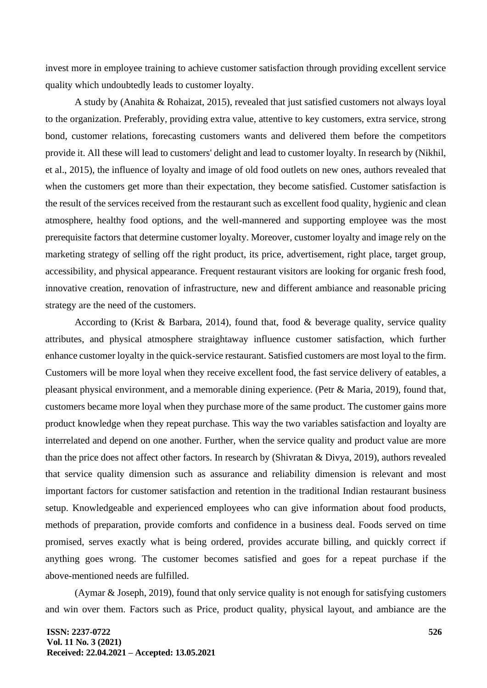invest more in employee training to achieve customer satisfaction through providing excellent service quality which undoubtedly leads to customer loyalty.

A study by (Anahita & Rohaizat, 2015), revealed that just satisfied customers not always loyal to the organization. Preferably, providing extra value, attentive to key customers, extra service, strong bond, customer relations, forecasting customers wants and delivered them before the competitors provide it. All these will lead to customers' delight and lead to customer loyalty. In research by (Nikhil, et al., 2015), the influence of loyalty and image of old food outlets on new ones, authors revealed that when the customers get more than their expectation, they become satisfied. Customer satisfaction is the result of the services received from the restaurant such as excellent food quality, hygienic and clean atmosphere, healthy food options, and the well-mannered and supporting employee was the most prerequisite factors that determine customer loyalty. Moreover, customer loyalty and image rely on the marketing strategy of selling off the right product, its price, advertisement, right place, target group, accessibility, and physical appearance. Frequent restaurant visitors are looking for organic fresh food, innovative creation, renovation of infrastructure, new and different ambiance and reasonable pricing strategy are the need of the customers.

According to (Krist & Barbara, 2014), found that, food & beverage quality, service quality attributes, and physical atmosphere straightaway influence customer satisfaction, which further enhance customer loyalty in the quick-service restaurant. Satisfied customers are most loyal to the firm. Customers will be more loyal when they receive excellent food, the fast service delivery of eatables, a pleasant physical environment, and a memorable dining experience. (Petr & Maria, 2019), found that, customers became more loyal when they purchase more of the same product. The customer gains more product knowledge when they repeat purchase. This way the two variables satisfaction and loyalty are interrelated and depend on one another. Further, when the service quality and product value are more than the price does not affect other factors. In research by (Shivratan & Divya, 2019), authors revealed that service quality dimension such as assurance and reliability dimension is relevant and most important factors for customer satisfaction and retention in the traditional Indian restaurant business setup. Knowledgeable and experienced employees who can give information about food products, methods of preparation, provide comforts and confidence in a business deal. Foods served on time promised, serves exactly what is being ordered, provides accurate billing, and quickly correct if anything goes wrong. The customer becomes satisfied and goes for a repeat purchase if the above-mentioned needs are fulfilled.

(Aymar & Joseph, 2019), found that only service quality is not enough for satisfying customers and win over them. Factors such as Price, product quality, physical layout, and ambiance are the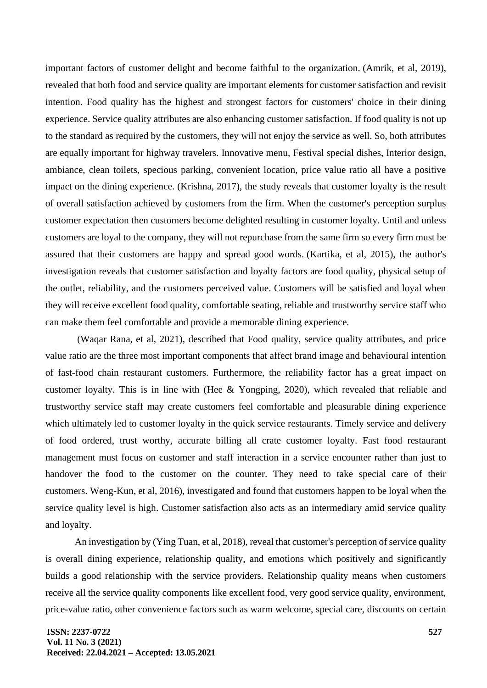important factors of customer delight and become faithful to the organization. (Amrik, et al, 2019), revealed that both food and service quality are important elements for customer satisfaction and revisit intention. Food quality has the highest and strongest factors for customers' choice in their dining experience. Service quality attributes are also enhancing customer satisfaction. If food quality is not up to the standard as required by the customers, they will not enjoy the service as well. So, both attributes are equally important for highway travelers. Innovative menu, Festival special dishes, Interior design, ambiance, clean toilets, specious parking, convenient location, price value ratio all have a positive impact on the dining experience. (Krishna, 2017), the study reveals that customer loyalty is the result of overall satisfaction achieved by customers from the firm. When the customer's perception surplus customer expectation then customers become delighted resulting in customer loyalty. Until and unless customers are loyal to the company, they will not repurchase from the same firm so every firm must be assured that their customers are happy and spread good words. (Kartika, et al, 2015), the author's investigation reveals that customer satisfaction and loyalty factors are food quality, physical setup of the outlet, reliability, and the customers perceived value. Customers will be satisfied and loyal when they will receive excellent food quality, comfortable seating, reliable and trustworthy service staff who can make them feel comfortable and provide a memorable dining experience.

(Waqar Rana, et al, 2021), described that Food quality, service quality attributes, and price value ratio are the three most important components that affect brand image and behavioural intention of fast-food chain restaurant customers. Furthermore, the reliability factor has a great impact on customer loyalty. This is in line with (Hee & Yongping, 2020), which revealed that reliable and trustworthy service staff may create customers feel comfortable and pleasurable dining experience which ultimately led to customer loyalty in the quick service restaurants. Timely service and delivery of food ordered, trust worthy, accurate billing all crate customer loyalty. Fast food restaurant management must focus on customer and staff interaction in a service encounter rather than just to handover the food to the customer on the counter. They need to take special care of their customers. Weng-Kun, et al, 2016), investigated and found that customers happen to be loyal when the service quality level is high. Customer satisfaction also acts as an intermediary amid service quality and loyalty.

An investigation by (Ying Tuan, et al, 2018), reveal that customer's perception of service quality is overall dining experience, relationship quality, and emotions which positively and significantly builds a good relationship with the service providers. Relationship quality means when customers receive all the service quality components like excellent food, very good service quality, environment, price-value ratio, other convenience factors such as warm welcome, special care, discounts on certain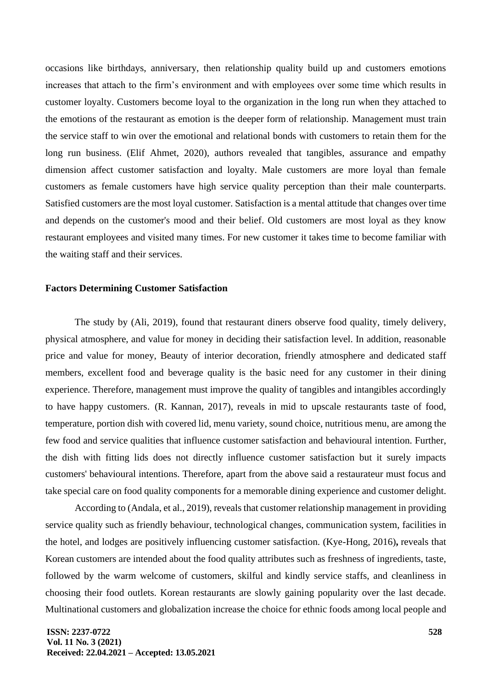occasions like birthdays, anniversary, then relationship quality build up and customers emotions increases that attach to the firm's environment and with employees over some time which results in customer loyalty. Customers become loyal to the organization in the long run when they attached to the emotions of the restaurant as emotion is the deeper form of relationship. Management must train the service staff to win over the emotional and relational bonds with customers to retain them for the long run business. (Elif Ahmet, 2020), authors revealed that tangibles, assurance and empathy dimension affect customer satisfaction and loyalty. Male customers are more loyal than female customers as female customers have high service quality perception than their male counterparts. Satisfied customers are the most loyal customer. Satisfaction is a mental attitude that changes over time and depends on the customer's mood and their belief. Old customers are most loyal as they know restaurant employees and visited many times. For new customer it takes time to become familiar with the waiting staff and their services.

## **Factors Determining Customer Satisfaction**

The study by (Ali, 2019), found that restaurant diners observe food quality, timely delivery, physical atmosphere, and value for money in deciding their satisfaction level. In addition, reasonable price and value for money, Beauty of interior decoration, friendly atmosphere and dedicated staff members, excellent food and beverage quality is the basic need for any customer in their dining experience. Therefore, management must improve the quality of tangibles and intangibles accordingly to have happy customers. (R. Kannan, 2017), reveals in mid to upscale restaurants taste of food, temperature, portion dish with covered lid, menu variety, sound choice, nutritious menu, are among the few food and service qualities that influence customer satisfaction and behavioural intention. Further, the dish with fitting lids does not directly influence customer satisfaction but it surely impacts customers' behavioural intentions. Therefore, apart from the above said a restaurateur must focus and take special care on food quality components for a memorable dining experience and customer delight.

According to (Andala, et al., 2019), reveals that customer relationship management in providing service quality such as friendly behaviour, technological changes, communication system, facilities in the hotel, and lodges are positively influencing customer satisfaction. (Kye-Hong, 2016)**,** reveals that Korean customers are intended about the food quality attributes such as freshness of ingredients, taste, followed by the warm welcome of customers, skilful and kindly service staffs, and cleanliness in choosing their food outlets. Korean restaurants are slowly gaining popularity over the last decade. Multinational customers and globalization increase the choice for ethnic foods among local people and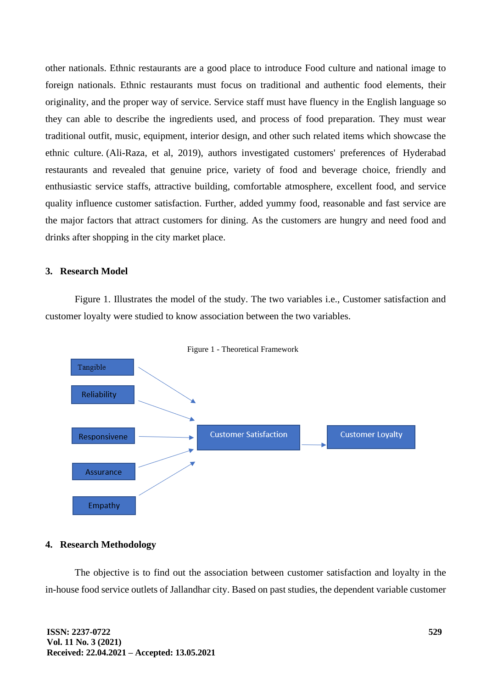other nationals. Ethnic restaurants are a good place to introduce Food culture and national image to foreign nationals. Ethnic restaurants must focus on traditional and authentic food elements, their originality, and the proper way of service. Service staff must have fluency in the English language so they can able to describe the ingredients used, and process of food preparation. They must wear traditional outfit, music, equipment, interior design, and other such related items which showcase the ethnic culture. (Ali-Raza, et al, 2019), authors investigated customers' preferences of Hyderabad restaurants and revealed that genuine price, variety of food and beverage choice, friendly and enthusiastic service staffs, attractive building, comfortable atmosphere, excellent food, and service quality influence customer satisfaction. Further, added yummy food, reasonable and fast service are the major factors that attract customers for dining. As the customers are hungry and need food and drinks after shopping in the city market place.

## **3. Research Model**

Figure 1. Illustrates the model of the study. The two variables i.e., Customer satisfaction and customer loyalty were studied to know association between the two variables.



Figure 1 - Theoretical Framework

## **4. Research Methodology**

The objective is to find out the association between customer satisfaction and loyalty in the in-house food service outlets of Jallandhar city. Based on past studies, the dependent variable customer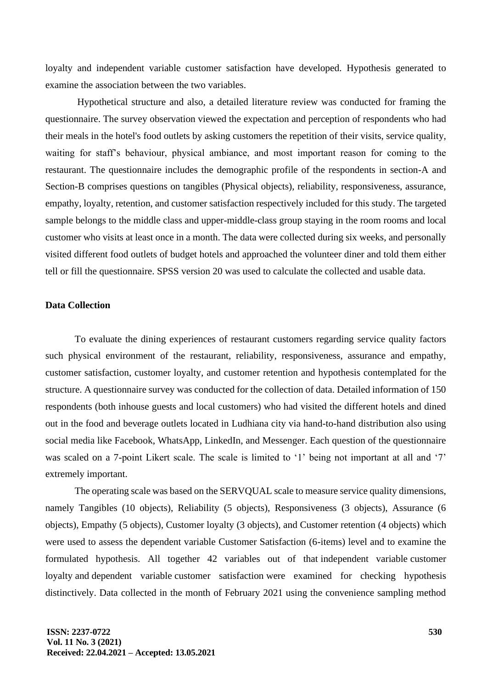loyalty and independent variable customer satisfaction have developed. Hypothesis generated to examine the association between the two variables.

Hypothetical structure and also, a detailed literature review was conducted for framing the questionnaire. The survey observation viewed the expectation and perception of respondents who had their meals in the hotel's food outlets by asking customers the repetition of their visits, service quality, waiting for staff's behaviour, physical ambiance, and most important reason for coming to the restaurant. The questionnaire includes the demographic profile of the respondents in section-A and Section-B comprises questions on tangibles (Physical objects), reliability, responsiveness, assurance, empathy, loyalty, retention, and customer satisfaction respectively included for this study. The targeted sample belongs to the middle class and upper-middle-class group staying in the room rooms and local customer who visits at least once in a month. The data were collected during six weeks, and personally visited different food outlets of budget hotels and approached the volunteer diner and told them either tell or fill the questionnaire. SPSS version 20 was used to calculate the collected and usable data.

## **Data Collection**

To evaluate the dining experiences of restaurant customers regarding service quality factors such physical environment of the restaurant, reliability, responsiveness, assurance and empathy, customer satisfaction, customer loyalty, and customer retention and hypothesis contemplated for the structure. A questionnaire survey was conducted for the collection of data. Detailed information of 150 respondents (both inhouse guests and local customers) who had visited the different hotels and dined out in the food and beverage outlets located in Ludhiana city via hand-to-hand distribution also using social media like Facebook, WhatsApp, LinkedIn, and Messenger. Each question of the questionnaire was scaled on a 7-point Likert scale. The scale is limited to '1' being not important at all and '7' extremely important.

The operating scale was based on the SERVQUAL scale to measure service quality dimensions, namely Tangibles (10 objects), Reliability (5 objects), Responsiveness (3 objects), Assurance (6 objects), Empathy (5 objects), Customer loyalty (3 objects), and Customer retention (4 objects) which were used to assess the dependent variable Customer Satisfaction (6-items) level and to examine the formulated hypothesis. All together 42 variables out of that independent variable customer loyalty and dependent variable customer satisfaction were examined for checking hypothesis distinctively. Data collected in the month of February 2021 using the convenience sampling method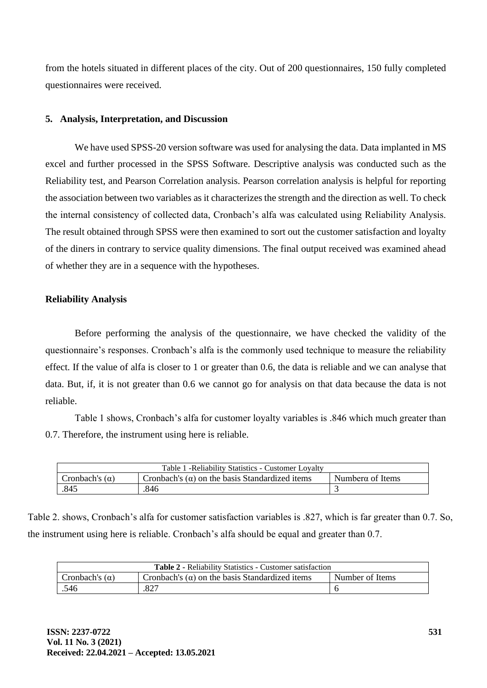from the hotels situated in different places of the city. Out of 200 questionnaires, 150 fully completed questionnaires were received.

# **5. Analysis, Interpretation, and Discussion**

We have used SPSS-20 version software was used for analysing the data. Data implanted in MS excel and further processed in the SPSS Software. Descriptive analysis was conducted such as the Reliability test, and Pearson Correlation analysis. Pearson correlation analysis is helpful for reporting the association between two variables as it characterizes the strength and the direction as well. To check the internal consistency of collected data, Cronbach's alfa was calculated using Reliability Analysis. The result obtained through SPSS were then examined to sort out the customer satisfaction and loyalty of the diners in contrary to service quality dimensions. The final output received was examined ahead of whether they are in a sequence with the hypotheses.

# **Reliability Analysis**

Before performing the analysis of the questionnaire, we have checked the validity of the questionnaire's responses. Cronbach's alfa is the commonly used technique to measure the reliability effect. If the value of alfa is closer to 1 or greater than 0.6, the data is reliable and we can analyse that data. But, if, it is not greater than 0.6 we cannot go for analysis on that data because the data is not reliable.

Table 1 shows, Cronbach's alfa for customer loyalty variables is .846 which much greater than 0.7. Therefore, the instrument using here is reliable.

| Table 1 - Reliability Statistics - Customer Lovalty |                                                       |                  |  |
|-----------------------------------------------------|-------------------------------------------------------|------------------|--|
| Cronbach's $(\alpha)$                               | Cronbach's $(\alpha)$ on the basis Standardized items | Numberα of Items |  |
| .845                                                | 846                                                   |                  |  |

Table 2. shows, Cronbach's alfa for customer satisfaction variables is .827, which is far greater than 0.7. So, the instrument using here is reliable. Cronbach's alfa should be equal and greater than 0.7.

| <b>Table 2 - Reliability Statistics - Customer satisfaction</b> |                                                       |                 |  |
|-----------------------------------------------------------------|-------------------------------------------------------|-----------------|--|
| Cronbach's $(\alpha)$                                           | Cronbach's $(\alpha)$ on the basis Standardized items | Number of Items |  |
| .546                                                            | .827                                                  |                 |  |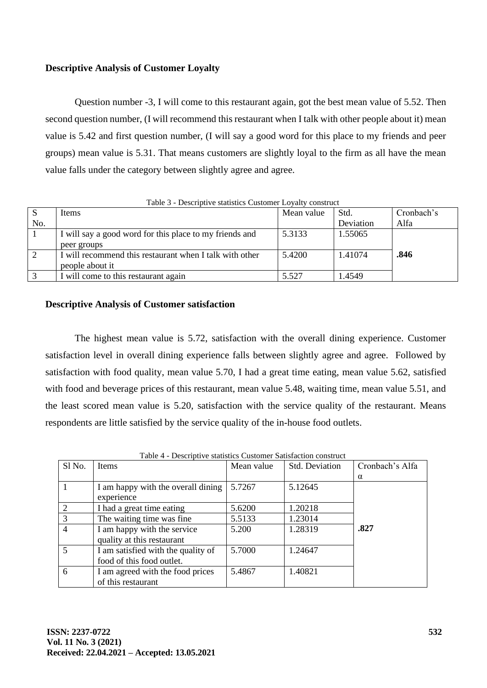# **Descriptive Analysis of Customer Loyalty**

Question number -3, I will come to this restaurant again, got the best mean value of 5.52. Then second question number, (I will recommend this restaurant when I talk with other people about it) mean value is 5.42 and first question number, (I will say a good word for this place to my friends and peer groups) mean value is 5.31. That means customers are slightly loyal to the firm as all have the mean value falls under the category between slightly agree and agree.

| Tuble 5 - Descriptive statistics Castoliter Lovany construct |                                                         |            |           |            |
|--------------------------------------------------------------|---------------------------------------------------------|------------|-----------|------------|
| S                                                            | <b>Items</b>                                            | Mean value | Std.      | Cronbach's |
| No.                                                          |                                                         |            | Deviation | Alfa       |
|                                                              | I will say a good word for this place to my friends and | 5.3133     | 1.55065   |            |
|                                                              | peer groups                                             |            |           |            |
| 2                                                            | I will recommend this restaurant when I talk with other | 5.4200     | 1.41074   | .846       |
|                                                              | people about it                                         |            |           |            |
| 3                                                            | I will come to this restaurant again                    | 5.527      | 1.4549    |            |
|                                                              |                                                         |            |           |            |

Table 3 - Descriptive statistics Customer Loyalty construct

# **Descriptive Analysis of Customer satisfaction**

The highest mean value is 5.72, satisfaction with the overall dining experience. Customer satisfaction level in overall dining experience falls between slightly agree and agree. Followed by satisfaction with food quality, mean value 5.70, I had a great time eating, mean value 5.62, satisfied with food and beverage prices of this restaurant, mean value 5.48, waiting time, mean value 5.51, and the least scored mean value is 5.20, satisfaction with the service quality of the restaurant. Means respondents are little satisfied by the service quality of the in-house food outlets.

| Sl No.         | Items                              | Mean value | Std. Deviation | Cronbach's Alfa |
|----------------|------------------------------------|------------|----------------|-----------------|
|                |                                    |            |                | $\alpha$        |
|                | I am happy with the overall dining | 5.7267     | 5.12645        |                 |
|                | experience                         |            |                |                 |
| 2              | I had a great time eating          | 5.6200     | 1.20218        |                 |
| $\overline{3}$ | The waiting time was fine.         | 5.5133     | 1.23014        |                 |
| $\overline{4}$ | I am happy with the service        | 5.200      | 1.28319        | .827            |
|                | quality at this restaurant         |            |                |                 |
| 5              | I am satisfied with the quality of | 5.7000     | 1.24647        |                 |
|                | food of this food outlet.          |            |                |                 |
| 6              | I am agreed with the food prices   | 5.4867     | 1.40821        |                 |
|                | of this restaurant                 |            |                |                 |

Table 4 - Descriptive statistics Customer Satisfaction construct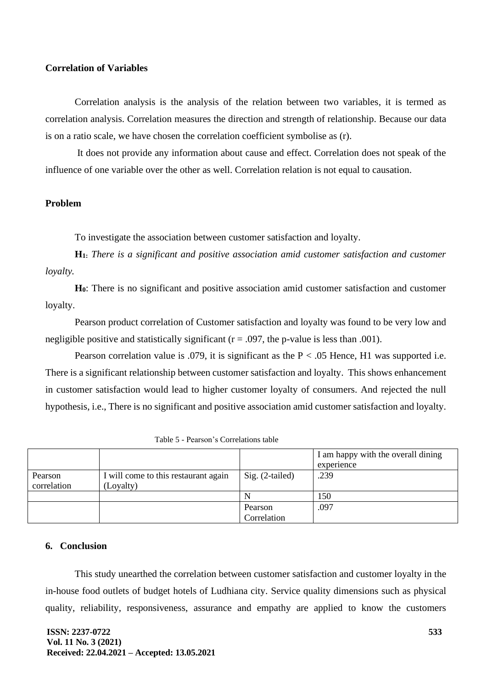# **Correlation of Variables**

Correlation analysis is the analysis of the relation between two variables, it is termed as correlation analysis. Correlation measures the direction and strength of relationship. Because our data is on a ratio scale, we have chosen the correlation coefficient symbolise as (r).

It does not provide any information about cause and effect. Correlation does not speak of the influence of one variable over the other as well. Correlation relation is not equal to causation.

# **Problem**

To investigate the association between customer satisfaction and loyalty.

**H1:** *There is a significant and positive association amid customer satisfaction and customer loyalty.*

**H0**: There is no significant and positive association amid customer satisfaction and customer loyalty.

Pearson product correlation of Customer satisfaction and loyalty was found to be very low and negligible positive and statistically significant ( $r = .097$ , the p-value is less than .001).

Pearson correlation value is .079, it is significant as the  $P < .05$  Hence, H1 was supported i.e. There is a significant relationship between customer satisfaction and loyalty. This shows enhancement in customer satisfaction would lead to higher customer loyalty of consumers. And rejected the null hypothesis, i.e., There is no significant and positive association amid customer satisfaction and loyalty.

|             |                                      |                   | I am happy with the overall dining<br>experience |
|-------------|--------------------------------------|-------------------|--------------------------------------------------|
| Pearson     | I will come to this restaurant again | $Sig. (2-tailed)$ | .239                                             |
| correlation | (Loyalty)                            |                   |                                                  |
|             |                                      | N                 | 150                                              |
|             |                                      | Pearson           | .097                                             |
|             |                                      | Correlation       |                                                  |

| Table 5 - Pearson's Correlations table |  |  |
|----------------------------------------|--|--|
|----------------------------------------|--|--|

## **6. Conclusion**

This study unearthed the correlation between customer satisfaction and customer loyalty in the in-house food outlets of budget hotels of Ludhiana city. Service quality dimensions such as physical quality, reliability, responsiveness, assurance and empathy are applied to know the customers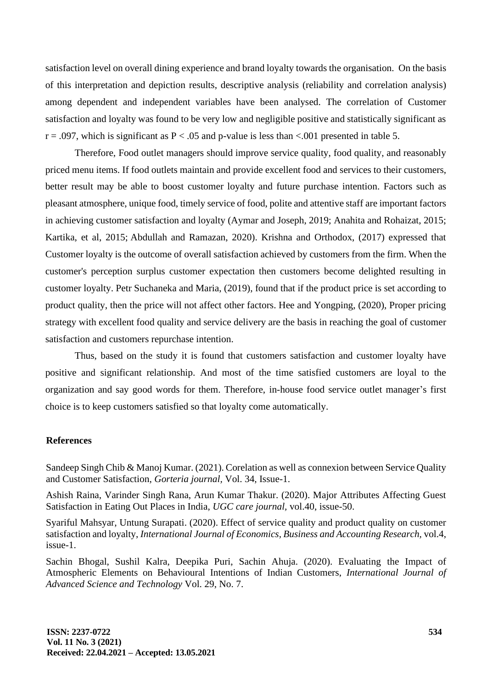satisfaction level on overall dining experience and brand loyalty towards the organisation. On the basis of this interpretation and depiction results, descriptive analysis (reliability and correlation analysis) among dependent and independent variables have been analysed. The correlation of Customer satisfaction and loyalty was found to be very low and negligible positive and statistically significant as  $r = .097$ , which is significant as  $P < .05$  and p-value is less than  $< .001$  presented in table 5.

Therefore, Food outlet managers should improve service quality, food quality, and reasonably priced menu items. If food outlets maintain and provide excellent food and services to their customers, better result may be able to boost customer loyalty and future purchase intention. Factors such as pleasant atmosphere, unique food, timely service of food, polite and attentive staff are important factors in achieving customer satisfaction and loyalty (Aymar and Joseph, 2019; Anahita and Rohaizat, 2015; Kartika, et al, 2015; Abdullah and Ramazan, 2020). Krishna and Orthodox, (2017) expressed that Customer loyalty is the outcome of overall satisfaction achieved by customers from the firm. When the customer's perception surplus customer expectation then customers become delighted resulting in customer loyalty. Petr Suchaneka and Maria, (2019), found that if the product price is set according to product quality, then the price will not affect other factors. Hee and Yongping, (2020), Proper pricing strategy with excellent food quality and service delivery are the basis in reaching the goal of customer satisfaction and customers repurchase intention.

Thus, based on the study it is found that customers satisfaction and customer loyalty have positive and significant relationship. And most of the time satisfied customers are loyal to the organization and say good words for them. Therefore, in-house food service outlet manager's first choice is to keep customers satisfied so that loyalty come automatically.

## **References**

Sandeep Singh Chib & Manoj Kumar. (2021). Corelation as well as connexion between Service Quality and Customer Satisfaction, *Gorteria journal,* Vol. 34, Issue-1.

Ashish Raina, Varinder Singh Rana, Arun Kumar Thakur. (2020). Major Attributes Affecting Guest Satisfaction in Eating Out Places in India, *UGC care journal,* vol.40, issue-50.

Syariful Mahsyar, Untung Surapati. (2020). Effect of service quality and product quality on customer satisfaction and loyalty, *International Journal of Economics, Business and Accounting Research,* vol.4, issue-1.

Sachin Bhogal, Sushil Kalra, Deepika Puri, Sachin Ahuja. (2020). Evaluating the Impact of Atmospheric Elements on Behavioural Intentions of Indian Customers, *International Journal of Advanced Science and Technology* Vol. 29, No. 7.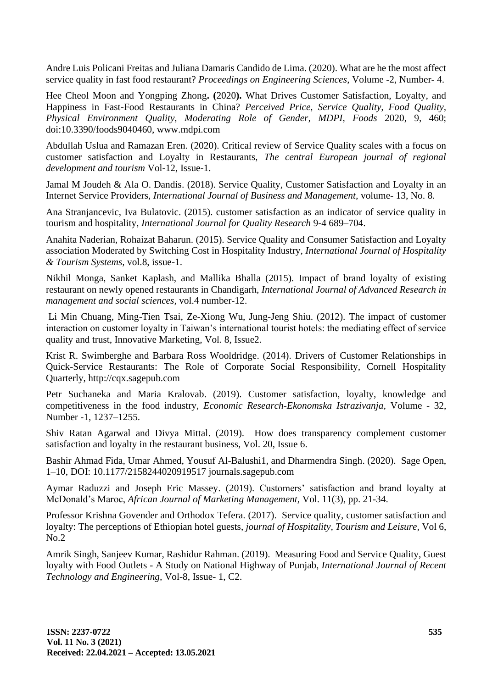Andre Luis Policani Freitas and Juliana Damaris Candido de Lima. (2020). What are he the most affect service quality in fast food restaurant? *Proceedings on Engineering Sciences*, Volume -2, Number- 4.

Hee Cheol Moon and Yongping Zhong**. (**2020**).** What Drives Customer Satisfaction, Loyalty, and Happiness in Fast-Food Restaurants in China? *Perceived Price, Service Quality, Food Quality, Physical Environment Quality, Moderating Role of Gender, MDPI, Foods* 2020, 9, 460; doi:10.3390/foods9040460, [www.mdpi.com](http://www.mdpi.com/)

Abdullah Uslua and Ramazan Eren. (2020). Critical review of Service Quality scales with a focus on customer satisfaction and Loyalty in Restaurants, *The central European journal of regional development and tourism* Vol-12, Issue-1.

Jamal M Joudeh & Ala O. Dandis. (2018). Service Quality, Customer Satisfaction and Loyalty in an Internet Service Providers, *International Journal of Business and Management,* volume- 13, No. 8.

Ana Stranjancevic, Iva Bulatovic. (2015). customer satisfaction as an indicator of service quality in tourism and hospitality, *International Journal for Quality Research* 9-4 689–704.

Anahita Naderian, Rohaizat Baharun. (2015). Service Quality and Consumer Satisfaction and Loyalty association Moderated by Switching Cost in Hospitality Industry, *International Journal of Hospitality & Tourism Systems,* vol.8, issue-1.

Nikhil Monga, Sanket Kaplash, and Mallika Bhalla (2015). Impact of brand loyalty of existing restaurant on newly opened restaurants in Chandigarh, *International Journal of Advanced Research in management and social sciences,* vol.4 number-12.

Li Min Chuang, Ming-Tien Tsai, Ze-Xiong Wu, Jung-Jeng Shiu. (2012). The impact of customer interaction on customer loyalty in Taiwan's international tourist hotels: the mediating effect of service quality and trust, Innovative Marketing, Vol. 8, Issue2.

Krist R. Swimberghe and Barbara Ross Wooldridge. (2014). Drivers of Customer Relationships in Quick-Service Restaurants: The Role of Corporate Social Responsibility, Cornell Hospitality Quarterly, [http://cqx.sagepub.com](http://cqx.sagepub.com/)

Petr Suchaneka and Maria Kralovab. (2019). Customer satisfaction, loyalty, knowledge and competitiveness in the food industry, *Economic Research-Ekonomska Istrazivanja,* Volume - 32, Number -1, 1237–1255.

Shiv Ratan Agarwal and Divya Mittal. (2019). How does transparency complement customer satisfaction and loyalty in the restaurant business, Vol. 20, Issue 6.

Bashir Ahmad Fida, Umar Ahmed, Yousuf Al-Balushi1, and Dharmendra Singh. (2020). Sage Open, 1–10, DOI: 10.1177/2158244020919517 journals.sagepub.com

Aymar Raduzzi and Joseph Eric Massey. (2019). Customers' satisfaction and brand loyalty at McDonald's Maroc, *African Journal of Marketing Management,* Vol. 11(3), pp. 21-34.

Professor Krishna Govender and Orthodox Tefera. (2017). Service quality, customer satisfaction and loyalty: The perceptions of Ethiopian hotel guests, *journal of Hospitality, Tourism and Leisure,* Vol 6, No.2

Amrik Singh, Sanjeev Kumar, Rashidur Rahman. (2019). Measuring Food and Service Quality, Guest loyalty with Food Outlets - A Study on National Highway of Punjab, *International Journal of Recent Technology and Engineering,* Vol-8, Issue- 1, C2.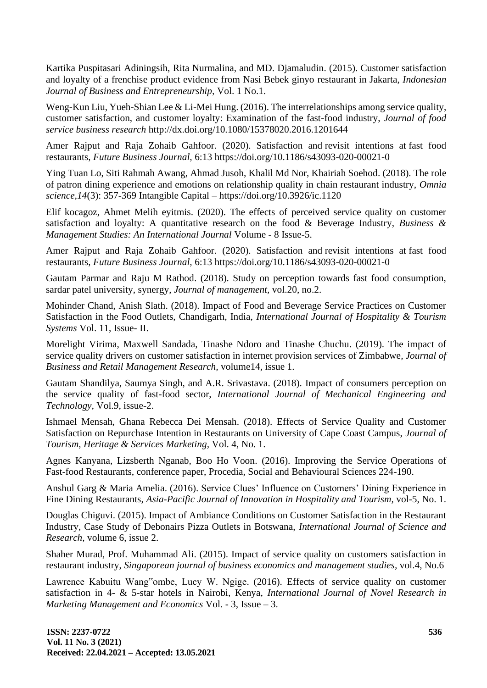Kartika Puspitasari Adiningsih, Rita Nurmalina, and MD. Djamaludin. (2015). Customer satisfaction and loyalty of a frenchise product evidence from Nasi Bebek ginyo restaurant in Jakarta, *Indonesian Journal of Business and Entrepreneurship,* Vol. 1 No.1.

Weng-Kun Liu, Yueh-Shian Lee & Li-Mei Hung. (2016). The interrelationships among service quality, customer satisfaction, and customer loyalty: Examination of the fast-food industry, *Journal of food service business research* <http://dx.doi.org/10.1080/15378020.2016.1201644>

Amer Rajput and Raja Zohaib Gahfoor. (2020). Satisfaction and revisit intentions at fast food restaurants, *Future Business Journal,* 6:13<https://doi.org/10.1186/s43093-020-00021-0>

Ying Tuan Lo, Siti Rahmah Awang, Ahmad Jusoh, Khalil Md Nor, Khairiah Soehod. (2018). The role of patron dining experience and emotions on relationship quality in chain restaurant industry, *Omnia science,14*(3): 357-369 Intangible Capital – <https://doi.org/10.3926/ic.1120>

Elif kocagoz, Ahmet Melih eyitmis. (2020). The effects of perceived service quality on customer satisfaction and loyalty: A quantitative research on the food & Beverage Industry, *Business & Management Studies: An International Journal* Volume - 8 Issue-5.

Amer Rajput and Raja Zohaib Gahfoor. (2020). Satisfaction and revisit intentions at fast food restaurants, *Future Business Journal,* 6:13<https://doi.org/10.1186/s43093-020-00021-0>

Gautam Parmar and Raju M Rathod. (2018). Study on perception towards fast food consumption, sardar patel university, synergy, *Journal of management,* vol.20, no.2.

Mohinder Chand, Anish Slath. (2018). Impact of Food and Beverage Service Practices on Customer Satisfaction in the Food Outlets, Chandigarh, India, *International Journal of Hospitality & Tourism Systems* Vol. 11, Issue- II.

Morelight Virima, Maxwell Sandada, Tinashe Ndoro and Tinashe Chuchu. (2019). The impact of service quality drivers on customer satisfaction in internet provision services of Zimbabwe*, Journal of Business and Retail Management Research,* volume14, issue 1.

Gautam Shandilya, Saumya Singh, and A.R. Srivastava. (2018). Impact of consumers perception on the service quality of fast-food sector, *International Journal of Mechanical Engineering and Technology,* Vol.9, issue-2.

Ishmael Mensah, Ghana Rebecca Dei Mensah. (2018). Effects of Service Quality and Customer Satisfaction on Repurchase Intention in Restaurants on University of Cape Coast Campus, *Journal of Tourism, Heritage & Services Marketing,* Vol. 4, No. 1.

Agnes Kanyana, Lizsberth Nganab, Boo Ho Voon. (2016). Improving the Service Operations of Fast-food Restaurants, conference paper, Procedia, Social and Behavioural Sciences 224-190.

Anshul Garg & Maria Amelia. (2016). Service Clues' Influence on Customers' Dining Experience in Fine Dining Restaurants, *Asia-Pacific Journal of Innovation in Hospitality and Tourism,* vol-5, No. 1.

Douglas Chiguvi. (2015). Impact of Ambiance Conditions on Customer Satisfaction in the Restaurant Industry, Case Study of Debonairs Pizza Outlets in Botswana, *International Journal of Science and Research,* volume 6, issue 2.

Shaher Murad, Prof. Muhammad Ali. (2015). Impact of service quality on customers satisfaction in restaurant industry, *Singaporean journal of business economics and management studies,* vol.4, No.6

Lawrence Kabuitu Wang"ombe, Lucy W. Ngige. (2016). Effects of service quality on customer satisfaction in 4- & 5-star hotels in Nairobi, Kenya, *International Journal of Novel Research in Marketing Management and Economics* Vol. - 3, Issue – 3.